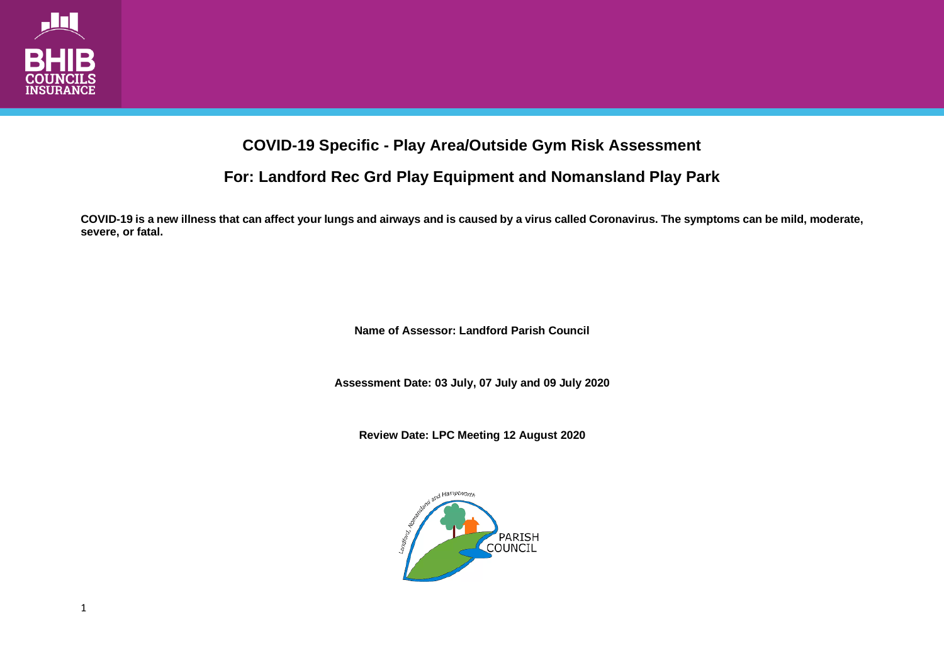

## **COVID-19 Specific - Play Area/Outside Gym Risk Assessment**

**For: Landford Rec Grd Play Equipment and Nomansland Play Park**

**COVID-19 is a new illness that can affect your lungs and airways and is caused by a virus called Coronavirus. The symptoms can be mild, moderate, severe, or fatal.**

**Name of Assessor: Landford Parish Council**

**Assessment Date: 03 July, 07 July and 09 July 2020**

**Review Date: LPC Meeting 12 August 2020**

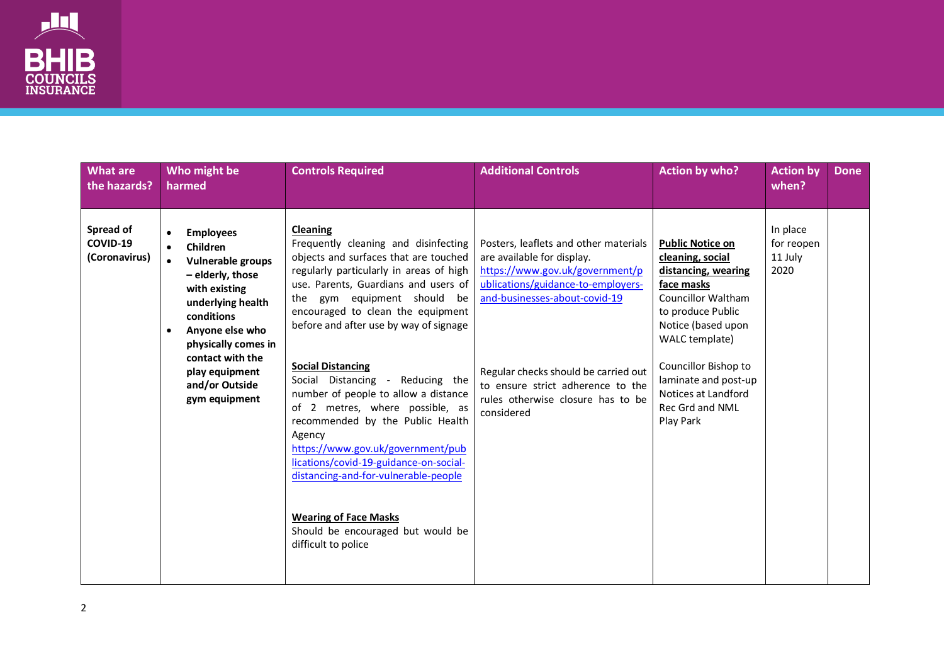

| <b>What are</b><br>the hazards?        | Who might be<br>harmed                                                                                                                                                                                                                                                | <b>Controls Required</b>                                                                                                                                                                                                                                                                                                                                                                                                                                                                                                                                                                                                                                                                               | <b>Additional Controls</b>                                                                                                                                                                                                                                                                                    | <b>Action by who?</b>                                                                                                                                                                                                                                                             | <b>Action by</b><br>when?                 | <b>Done</b> |
|----------------------------------------|-----------------------------------------------------------------------------------------------------------------------------------------------------------------------------------------------------------------------------------------------------------------------|--------------------------------------------------------------------------------------------------------------------------------------------------------------------------------------------------------------------------------------------------------------------------------------------------------------------------------------------------------------------------------------------------------------------------------------------------------------------------------------------------------------------------------------------------------------------------------------------------------------------------------------------------------------------------------------------------------|---------------------------------------------------------------------------------------------------------------------------------------------------------------------------------------------------------------------------------------------------------------------------------------------------------------|-----------------------------------------------------------------------------------------------------------------------------------------------------------------------------------------------------------------------------------------------------------------------------------|-------------------------------------------|-------------|
| Spread of<br>COVID-19<br>(Coronavirus) | <b>Employees</b><br><b>Children</b><br>Vulnerable groups<br>$\bullet$<br>- elderly, those<br>with existing<br>underlying health<br>conditions<br>Anyone else who<br>٠<br>physically comes in<br>contact with the<br>play equipment<br>and/or Outside<br>gym equipment | Cleaning<br>Frequently cleaning and disinfecting<br>objects and surfaces that are touched<br>regularly particularly in areas of high<br>use. Parents, Guardians and users of<br>the gym equipment should be<br>encouraged to clean the equipment<br>before and after use by way of signage<br><b>Social Distancing</b><br>Social Distancing - Reducing the<br>number of people to allow a distance<br>of 2 metres, where possible, as<br>recommended by the Public Health<br>Agency<br>https://www.gov.uk/government/pub<br>lications/covid-19-guidance-on-social-<br>distancing-and-for-vulnerable-people<br><b>Wearing of Face Masks</b><br>Should be encouraged but would be<br>difficult to police | Posters, leaflets and other materials<br>are available for display.<br>https://www.gov.uk/government/p<br>ublications/guidance-to-employers-<br>and-businesses-about-covid-19<br>Regular checks should be carried out<br>to ensure strict adherence to the<br>rules otherwise closure has to be<br>considered | <b>Public Notice on</b><br>cleaning, social<br>distancing, wearing<br>face masks<br><b>Councillor Waltham</b><br>to produce Public<br>Notice (based upon<br>WALC template)<br>Councillor Bishop to<br>laminate and post-up<br>Notices at Landford<br>Rec Grd and NML<br>Play Park | In place<br>for reopen<br>11 July<br>2020 |             |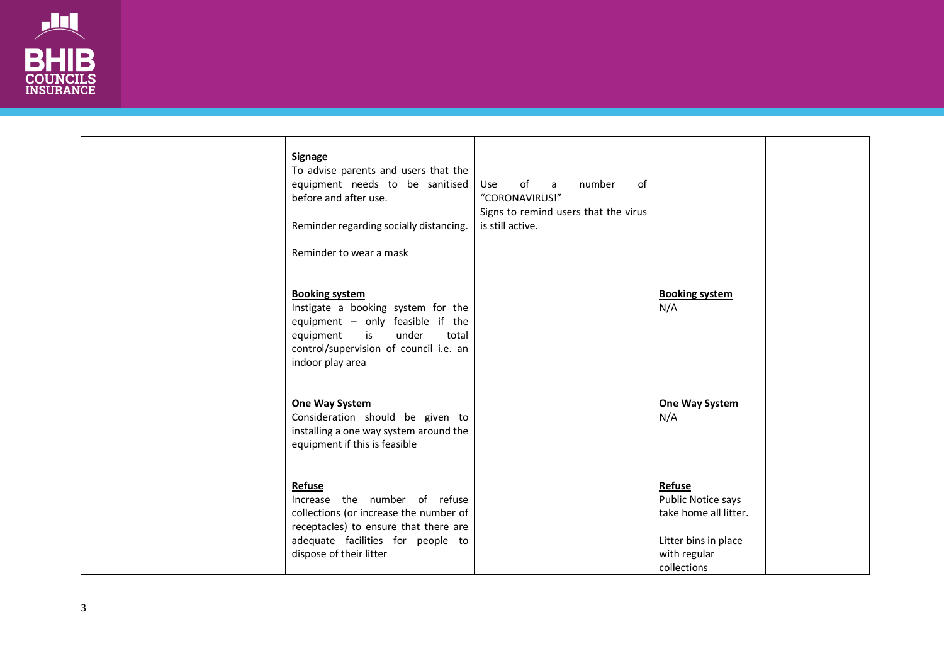

|  | <b>Signage</b><br>To advise parents and users that the<br>equipment needs to be sanitised<br>before and after use.<br>Reminder regarding socially distancing.<br>Reminder to wear a mask           | Use of a<br>number<br>of<br>"CORONAVIRUS!"<br>Signs to remind users that the virus<br>is still active. |                                                                                                              |  |
|--|----------------------------------------------------------------------------------------------------------------------------------------------------------------------------------------------------|--------------------------------------------------------------------------------------------------------|--------------------------------------------------------------------------------------------------------------|--|
|  | <b>Booking system</b><br>Instigate a booking system for the<br>equipment - only feasible if the<br>under<br>equipment<br>is<br>total<br>control/supervision of council i.e. an<br>indoor play area |                                                                                                        | <b>Booking system</b><br>N/A                                                                                 |  |
|  | <b>One Way System</b><br>Consideration should be given to<br>installing a one way system around the<br>equipment if this is feasible                                                               |                                                                                                        | One Way System<br>N/A                                                                                        |  |
|  | Refuse<br>Increase the number of refuse<br>collections (or increase the number of<br>receptacles) to ensure that there are<br>adequate facilities for people to<br>dispose of their litter         |                                                                                                        | Refuse<br>Public Notice says<br>take home all litter.<br>Litter bins in place<br>with regular<br>collections |  |